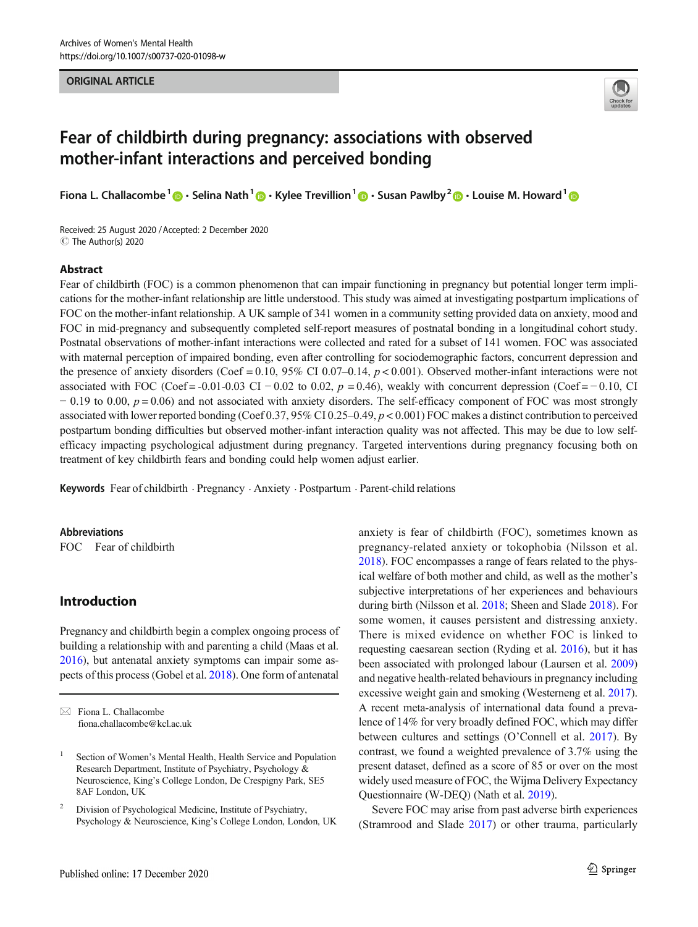ORIGINAL ARTICLE



# Fear of childbirth during pregnancy: associations with observed mother-infant interactions and perceived bonding

Fiona L. Challacombe<sup>1</sup>  $\cdot \cdot$  Selina Nath<sup>1</sup>  $\cdot \cdot$  Kylee Trevillion<sup>1</sup>  $\cdot \cdot$  Susan Pawlby<sup>2</sup>  $\cdot \cdot$  Louise M. Howard<sup>1</sup>  $\cdot \cdot$ 

Received: 25 August 2020 /Accepted: 2 December 2020 C The Author(s) 2020

### Abstract

Fear of childbirth (FOC) is a common phenomenon that can impair functioning in pregnancy but potential longer term implications for the mother-infant relationship are little understood. This study was aimed at investigating postpartum implications of FOC on the mother-infant relationship. A UK sample of 341 women in a community setting provided data on anxiety, mood and FOC in mid-pregnancy and subsequently completed self-report measures of postnatal bonding in a longitudinal cohort study. Postnatal observations of mother-infant interactions were collected and rated for a subset of 141 women. FOC was associated with maternal perception of impaired bonding, even after controlling for sociodemographic factors, concurrent depression and the presence of anxiety disorders (Coef = 0.10, 95% CI 0.07–0.14,  $p < 0.001$ ). Observed mother-infant interactions were not associated with FOC (Coef = -0.01-0.03 CI − 0.02 to 0.02,  $p = 0.46$ ), weakly with concurrent depression (Coef = -0.10, CI  $-0.19$  to 0.00,  $p = 0.06$ ) and not associated with anxiety disorders. The self-efficacy component of FOC was most strongly associated with lower reported bonding (Coef 0.37, 95% CI 0.25–0.49, p < 0.001) FOC makes a distinct contribution to perceived postpartum bonding difficulties but observed mother-infant interaction quality was not affected. This may be due to low selfefficacy impacting psychological adjustment during pregnancy. Targeted interventions during pregnancy focusing both on treatment of key childbirth fears and bonding could help women adjust earlier.

Keywords Fear of childbirth . Pregnancy . Anxiety . Postpartum . Parent-child relations

#### Abbreviations

FOC Fear of childbirth

# Introduction

Pregnancy and childbirth begin a complex ongoing process of building a relationship with and parenting a child (Maas et al. [2016\)](#page-8-0), but antenatal anxiety symptoms can impair some aspects of this process (Gobel et al. [2018\)](#page-8-0). One form of antenatal

anxiety is fear of childbirth (FOC), sometimes known as pregnancy-related anxiety or tokophobia (Nilsson et al. [2018\)](#page-8-0). FOC encompasses a range of fears related to the physical welfare of both mother and child, as well as the mother's subjective interpretations of her experiences and behaviours during birth (Nilsson et al. [2018;](#page-8-0) Sheen and Slade [2018\)](#page-8-0). For some women, it causes persistent and distressing anxiety. There is mixed evidence on whether FOC is linked to requesting caesarean section (Ryding et al. [2016](#page-8-0)), but it has been associated with prolonged labour (Laursen et al. [2009](#page-8-0)) and negative health-related behaviours in pregnancy including excessive weight gain and smoking (Westerneng et al. [2017\)](#page-9-0). A recent meta-analysis of international data found a prevalence of 14% for very broadly defined FOC, which may differ between cultures and settings (O'Connell et al. [2017](#page-8-0)). By contrast, we found a weighted prevalence of 3.7% using the present dataset, defined as a score of 85 or over on the most widely used measure of FOC, the Wijma Delivery Expectancy Questionnaire (W-DEQ) (Nath et al. [2019](#page-8-0)).

Severe FOC may arise from past adverse birth experiences (Stramrood and Slade [2017](#page-9-0)) or other trauma, particularly

 $\boxtimes$  Fiona L. Challacombe [fiona.challacombe@kcl.ac.uk](mailto:fiona.challacombe@kcl.ac.uk)

<sup>&</sup>lt;sup>1</sup> Section of Women's Mental Health, Health Service and Population Research Department, Institute of Psychiatry, Psychology & Neuroscience, King's College London, De Crespigny Park, SE5 8AF London, UK

<sup>2</sup> Division of Psychological Medicine, Institute of Psychiatry, Psychology & Neuroscience, King's College London, London, UK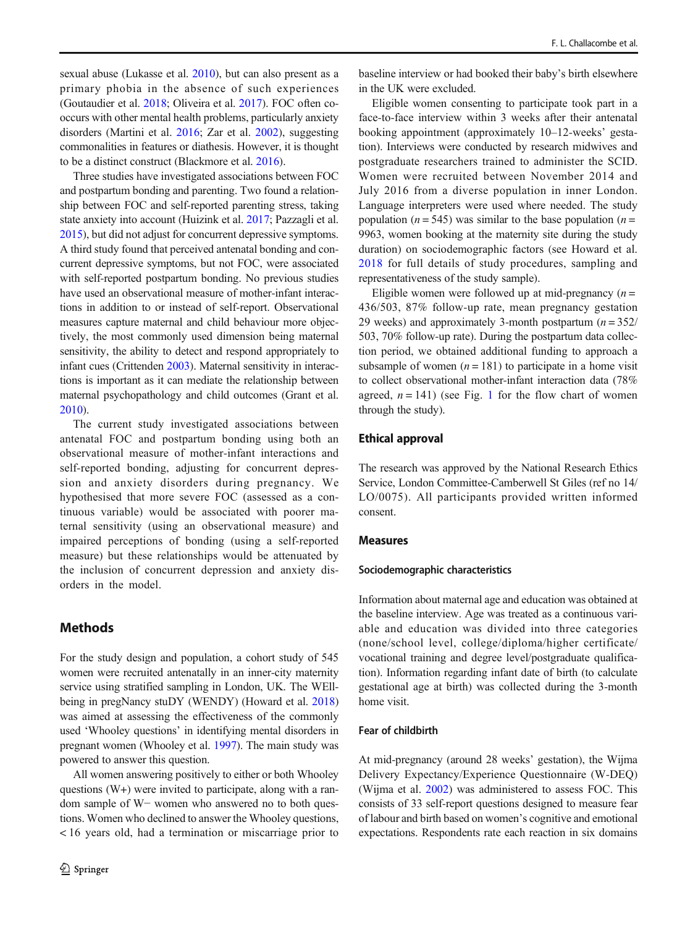sexual abuse (Lukasse et al. [2010\)](#page-8-0), but can also present as a primary phobia in the absence of such experiences (Goutaudier et al. [2018](#page-8-0); Oliveira et al. [2017\)](#page-8-0). FOC often cooccurs with other mental health problems, particularly anxiety disorders (Martini et al. [2016](#page-8-0); Zar et al. [2002\)](#page-9-0), suggesting commonalities in features or diathesis. However, it is thought to be a distinct construct (Blackmore et al. [2016](#page-7-0)).

Three studies have investigated associations between FOC and postpartum bonding and parenting. Two found a relationship between FOC and self-reported parenting stress, taking state anxiety into account (Huizink et al. [2017](#page-8-0); Pazzagli et al. [2015\)](#page-8-0), but did not adjust for concurrent depressive symptoms. A third study found that perceived antenatal bonding and concurrent depressive symptoms, but not FOC, were associated with self-reported postpartum bonding. No previous studies have used an observational measure of mother-infant interactions in addition to or instead of self-report. Observational measures capture maternal and child behaviour more objectively, the most commonly used dimension being maternal sensitivity, the ability to detect and respond appropriately to infant cues (Crittenden [2003\)](#page-7-0). Maternal sensitivity in interactions is important as it can mediate the relationship between maternal psychopathology and child outcomes (Grant et al. [2010\)](#page-8-0).

The current study investigated associations between antenatal FOC and postpartum bonding using both an observational measure of mother-infant interactions and self-reported bonding, adjusting for concurrent depression and anxiety disorders during pregnancy. We hypothesised that more severe FOC (assessed as a continuous variable) would be associated with poorer maternal sensitivity (using an observational measure) and impaired perceptions of bonding (using a self-reported measure) but these relationships would be attenuated by the inclusion of concurrent depression and anxiety disorders in the model.

# Methods

For the study design and population, a cohort study of 545 women were recruited antenatally in an inner-city maternity service using stratified sampling in London, UK. The WEllbeing in pregNancy stuDY (WENDY) (Howard et al. [2018\)](#page-8-0) was aimed at assessing the effectiveness of the commonly used 'Whooley questions' in identifying mental disorders in pregnant women (Whooley et al. [1997\)](#page-9-0). The main study was powered to answer this question.

All women answering positively to either or both Whooley questions (W+) were invited to participate, along with a random sample of W− women who answered no to both questions. Women who declined to answer the Whooley questions, < 16 years old, had a termination or miscarriage prior to

baseline interview or had booked their baby's birth elsewhere in the UK were excluded.

Eligible women consenting to participate took part in a face-to-face interview within 3 weeks after their antenatal booking appointment (approximately 10–12-weeks' gestation). Interviews were conducted by research midwives and postgraduate researchers trained to administer the SCID. Women were recruited between November 2014 and July 2016 from a diverse population in inner London. Language interpreters were used where needed. The study population ( $n = 545$ ) was similar to the base population ( $n =$ 9963, women booking at the maternity site during the study duration) on sociodemographic factors (see Howard et al. [2018](#page-8-0) for full details of study procedures, sampling and representativeness of the study sample).

Eligible women were followed up at mid-pregnancy  $(n =$ 436/503, 87% follow-up rate, mean pregnancy gestation 29 weeks) and approximately 3-month postpartum  $(n = 352/$ 503, 70% follow-up rate). During the postpartum data collection period, we obtained additional funding to approach a subsample of women  $(n = 181)$  to participate in a home visit to collect observational mother-infant interaction data (78% agreed,  $n = 141$  $n = 141$  $n = 141$ ) (see Fig. 1 for the flow chart of women through the study).

#### Ethical approval

The research was approved by the National Research Ethics Service, London Committee-Camberwell St Giles (ref no 14/ LO/0075). All participants provided written informed consent.

#### Measures

#### Sociodemographic characteristics

Information about maternal age and education was obtained at the baseline interview. Age was treated as a continuous variable and education was divided into three categories (none/school level, college/diploma/higher certificate/ vocational training and degree level/postgraduate qualification). Information regarding infant date of birth (to calculate gestational age at birth) was collected during the 3-month home visit.

## Fear of childbirth

At mid-pregnancy (around 28 weeks' gestation), the Wijma Delivery Expectancy/Experience Questionnaire (W-DEQ) (Wijma et al. [2002](#page-9-0)) was administered to assess FOC. This consists of 33 self-report questions designed to measure fear of labour and birth based on women's cognitive and emotional expectations. Respondents rate each reaction in six domains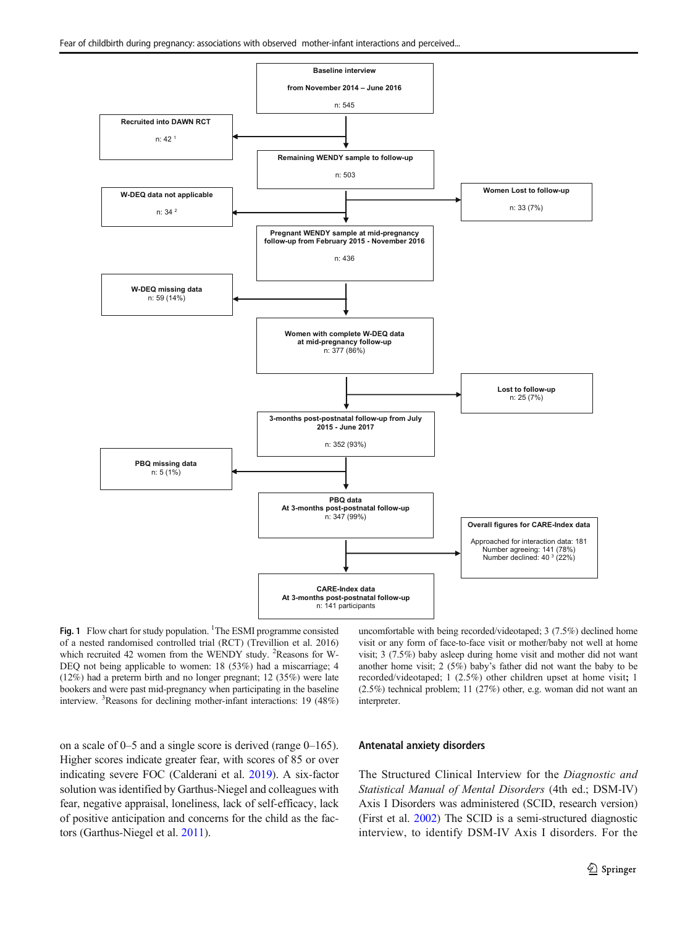<span id="page-2-0"></span>

Fig. 1 Flow chart for study population. <sup>1</sup>The ESMI programme consisted of a nested randomised controlled trial (RCT) (Trevillion et al. 2016) which recruited 42 women from the WENDY study. <sup>2</sup>Reasons for W-DEQ not being applicable to women: 18 (53%) had a miscarriage; 4 (12%) had a preterm birth and no longer pregnant; 12 (35%) were late bookers and were past mid-pregnancy when participating in the baseline interview. <sup>3</sup> Reasons for declining mother-infant interactions: 19 (48%)

uncomfortable with being recorded/videotaped; 3 (7.5%) declined home visit or any form of face-to-face visit or mother/baby not well at home visit; 3 (7.5%) baby asleep during home visit and mother did not want another home visit; 2 (5%) baby's father did not want the baby to be recorded/videotaped; 1 (2.5%) other children upset at home visit; 1 (2.5%) technical problem; 11 (27%) other, e.g. woman did not want an interpreter.

on a scale of 0–5 and a single score is derived (range 0–165). Higher scores indicate greater fear, with scores of 85 or over indicating severe FOC (Calderani et al. [2019](#page-7-0)). A six-factor solution was identified by Garthus-Niegel and colleagues with fear, negative appraisal, loneliness, lack of self-efficacy, lack of positive anticipation and concerns for the child as the factors (Garthus-Niegel et al. [2011](#page-8-0)).

#### Antenatal anxiety disorders

The Structured Clinical Interview for the Diagnostic and Statistical Manual of Mental Disorders (4th ed.; DSM-IV) Axis I Disorders was administered (SCID, research version) (First et al. [2002\)](#page-8-0) The SCID is a semi-structured diagnostic interview, to identify DSM-IV Axis I disorders. For the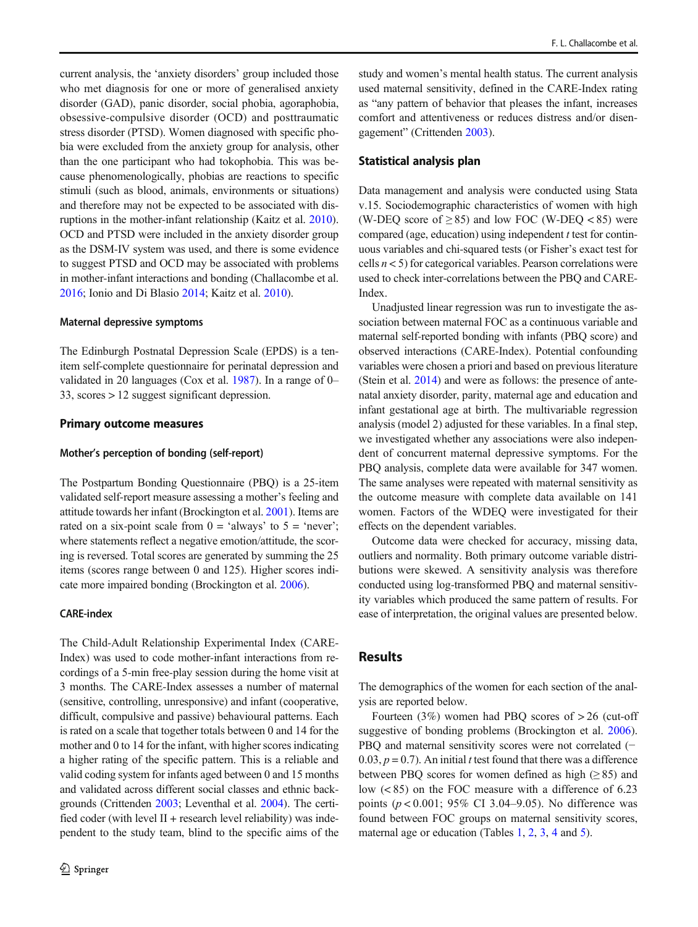current analysis, the 'anxiety disorders' group included those who met diagnosis for one or more of generalised anxiety disorder (GAD), panic disorder, social phobia, agoraphobia, obsessive-compulsive disorder (OCD) and posttraumatic stress disorder (PTSD). Women diagnosed with specific phobia were excluded from the anxiety group for analysis, other than the one participant who had tokophobia. This was because phenomenologically, phobias are reactions to specific stimuli (such as blood, animals, environments or situations) and therefore may not be expected to be associated with disruptions in the mother-infant relationship (Kaitz et al. [2010\)](#page-8-0). OCD and PTSD were included in the anxiety disorder group as the DSM-IV system was used, and there is some evidence to suggest PTSD and OCD may be associated with problems in mother-infant interactions and bonding (Challacombe et al. [2016;](#page-7-0) Ionio and Di Blasio [2014](#page-8-0); Kaitz et al. [2010\)](#page-8-0).

#### Maternal depressive symptoms

The Edinburgh Postnatal Depression Scale (EPDS) is a tenitem self-complete questionnaire for perinatal depression and validated in 20 languages (Cox et al. [1987\)](#page-7-0). In a range of 0– 33, scores > 12 suggest significant depression.

#### Primary outcome measures

#### Mother's perception of bonding (self-report)

The Postpartum Bonding Questionnaire (PBQ) is a 25-item validated self-report measure assessing a mother's feeling and attitude towards her infant (Brockington et al. [2001\)](#page-7-0). Items are rated on a six-point scale from  $0 = 'always'$  to  $5 = 'never';$ where statements reflect a negative emotion/attitude, the scoring is reversed. Total scores are generated by summing the 25 items (scores range between 0 and 125). Higher scores indicate more impaired bonding (Brockington et al. [2006\)](#page-7-0).

#### CARE-index

The Child-Adult Relationship Experimental Index (CARE-Index) was used to code mother-infant interactions from recordings of a 5-min free-play session during the home visit at 3 months. The CARE-Index assesses a number of maternal (sensitive, controlling, unresponsive) and infant (cooperative, difficult, compulsive and passive) behavioural patterns. Each is rated on a scale that together totals between 0 and 14 for the mother and 0 to 14 for the infant, with higher scores indicating a higher rating of the specific pattern. This is a reliable and valid coding system for infants aged between 0 and 15 months and validated across different social classes and ethnic backgrounds (Crittenden [2003](#page-7-0); Leventhal et al. [2004\)](#page-8-0). The certified coder (with level  $II$  + research level reliability) was independent to the study team, blind to the specific aims of the

study and women's mental health status. The current analysis used maternal sensitivity, defined in the CARE-Index rating as "any pattern of behavior that pleases the infant, increases comfort and attentiveness or reduces distress and/or disengagement" (Crittenden [2003\)](#page-7-0).

#### Statistical analysis plan

Data management and analysis were conducted using Stata v.15. Sociodemographic characteristics of women with high (W-DEQ score of  $\geq$  85) and low FOC (W-DEQ < 85) were compared (age, education) using independent  $t$  test for continuous variables and chi-squared tests (or Fisher's exact test for cells  $n < 5$ ) for categorical variables. Pearson correlations were used to check inter-correlations between the PBQ and CARE-Index.

Unadjusted linear regression was run to investigate the association between maternal FOC as a continuous variable and maternal self-reported bonding with infants (PBQ score) and observed interactions (CARE-Index). Potential confounding variables were chosen a priori and based on previous literature (Stein et al. [2014](#page-9-0)) and were as follows: the presence of antenatal anxiety disorder, parity, maternal age and education and infant gestational age at birth. The multivariable regression analysis (model 2) adjusted for these variables. In a final step, we investigated whether any associations were also independent of concurrent maternal depressive symptoms. For the PBQ analysis, complete data were available for 347 women. The same analyses were repeated with maternal sensitivity as the outcome measure with complete data available on 141 women. Factors of the WDEQ were investigated for their effects on the dependent variables.

Outcome data were checked for accuracy, missing data, outliers and normality. Both primary outcome variable distributions were skewed. A sensitivity analysis was therefore conducted using log-transformed PBQ and maternal sensitivity variables which produced the same pattern of results. For ease of interpretation, the original values are presented below.

## Results

The demographics of the women for each section of the analysis are reported below.

Fourteen  $(3\%)$  women had PBQ scores of  $> 26$  (cut-off suggestive of bonding problems (Brockington et al. [2006\)](#page-7-0). PBQ and maternal sensitivity scores were not correlated (− 0.03,  $p = 0.7$ ). An initial t test found that there was a difference between PBQ scores for women defined as high  $(≥ 85)$  and low (< 85) on the FOC measure with a difference of 6.23 points ( $p < 0.001$ ; 95% CI 3.04-9.05). No difference was found between FOC groups on maternal sensitivity scores, maternal age or education (Tables [1,](#page-4-0) [2,](#page-4-0) [3,](#page-5-0) [4](#page-5-0) and [5](#page-6-0)).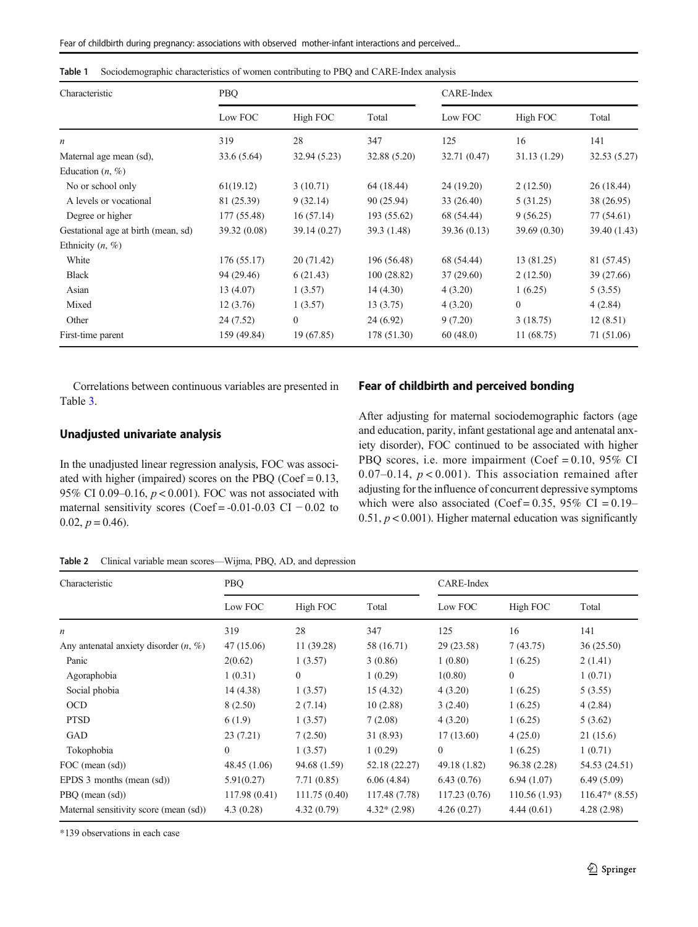| Characteristic                      | PBQ          |              |              | CARE-Index   |             |              |
|-------------------------------------|--------------|--------------|--------------|--------------|-------------|--------------|
|                                     | Low FOC      | High FOC     | Total        | Low FOC      | High FOC    | Total        |
| n                                   | 319          | 28           | 347          | 125          | 16          | 141          |
| Maternal age mean (sd),             | 33.6 (5.64)  | 32.94 (5.23) | 32.88 (5.20) | 32.71 (0.47) | 31.13(1.29) | 32.53 (5.27) |
| Education $(n, \%)$                 |              |              |              |              |             |              |
| No or school only                   | 61(19.12)    | 3(10.71)     | 64 (18.44)   | 24 (19.20)   | 2(12.50)    | 26(18.44)    |
| A levels or vocational              | 81 (25.39)   | 9(32.14)     | 90 (25.94)   | 33 (26.40)   | 5(31.25)    | 38 (26.95)   |
| Degree or higher                    | 177 (55.48)  | 16(57.14)    | 193 (55.62)  | 68 (54.44)   | 9(56.25)    | 77 (54.61)   |
| Gestational age at birth (mean, sd) | 39.32 (0.08) | 39.14 (0.27) | 39.3 (1.48)  | 39.36(0.13)  | 39.69(0.30) | 39.40 (1.43) |
| Ethnicity $(n, \%)$                 |              |              |              |              |             |              |
| White                               | 176 (55.17)  | 20 (71.42)   | 196 (56.48)  | 68 (54.44)   | 13 (81.25)  | 81 (57.45)   |
| <b>Black</b>                        | 94 (29.46)   | 6(21.43)     | 100(28.82)   | 37(29.60)    | 2(12.50)    | 39 (27.66)   |
| Asian                               | 13 (4.07)    | 1(3.57)      | 14(4.30)     | 4(3.20)      | 1(6.25)     | 5(3.55)      |
| Mixed                               | 12(3.76)     | 1(3.57)      | 13(3.75)     | 4(3.20)      | $\theta$    | 4(2.84)      |
| Other                               | 24 (7.52)    | $\mathbf{0}$ | 24 (6.92)    | 9(7.20)      | 3(18.75)    | 12(8.51)     |
| First-time parent                   | 159 (49.84)  | 19 (67.85)   | 178 (51.30)  | 60(48.0)     | 11(68.75)   | 71 (51.06)   |

<span id="page-4-0"></span>Table 1 Sociodemographic characteristics of women contributing to PBQ and CARE-Index analysis

Correlations between continuous variables are presented in Table [3.](#page-5-0)

## Unadjusted univariate analysis

In the unadjusted linear regression analysis, FOC was associated with higher (impaired) scores on the PBQ ( $Coef = 0.13$ , 95% CI 0.09–0.16,  $p < 0.001$ ). FOC was not associated with maternal sensitivity scores (Coef =  $-0.01-0.03$  CI  $-0.02$  to  $0.02, p = 0.46$ .

## Fear of childbirth and perceived bonding

After adjusting for maternal sociodemographic factors (age and education, parity, infant gestational age and antenatal anxiety disorder), FOC continued to be associated with higher PBQ scores, i.e. more impairment (Coef = 0.10, 95% CI 0.07–0.14,  $p < 0.001$ ). This association remained after adjusting for the influence of concurrent depressive symptoms which were also associated (Coef =  $0.35$ , 95% CI =  $0.19-$ 0.51,  $p < 0.001$ ). Higher maternal education was significantly

Table 2 Clinical variable mean scores—Wijma, PBQ, AD, and depression

| Characteristic                           | <b>PBQ</b>   |                |               | CARE-Index   |                |                 |
|------------------------------------------|--------------|----------------|---------------|--------------|----------------|-----------------|
|                                          | Low FOC      | High FOC       | Total         | Low FOC      | High FOC       | Total           |
| n                                        | 319          | 28             | 347           | 125          | 16             | 141             |
| Any antenatal anxiety disorder $(n, \%)$ | 47 (15.06)   | 11 (39.28)     | 58 (16.71)    | 29 (23.58)   | 7(43.75)       | 36(25.50)       |
| Panic                                    | 2(0.62)      | 1(3.57)        | 3(0.86)       | 1(0.80)      | 1(6.25)        | 2(1.41)         |
| Agoraphobia                              | 1(0.31)      | $\overline{0}$ | 1(0.29)       | 1(0.80)      | $\overline{0}$ | 1(0.71)         |
| Social phobia                            | 14 (4.38)    | 1(3.57)        | 15(4.32)      | 4(3.20)      | 1(6.25)        | 5(3.55)         |
| <b>OCD</b>                               | 8(2.50)      | 2(7.14)        | 10(2.88)      | 3(2.40)      | 1(6.25)        | 4(2.84)         |
| <b>PTSD</b>                              | 6(1.9)       | 1(3.57)        | 7(2.08)       | 4(3.20)      | 1(6.25)        | 5(3.62)         |
| GAD                                      | 23(7.21)     | 7(2.50)        | 31 (8.93)     | 17(13.60)    | 4(25.0)        | 21(15.6)        |
| Tokophobia                               | $\theta$     | 1(3.57)        | 1(0.29)       | $\Omega$     | 1(6.25)        | 1(0.71)         |
| FOC (mean (sd))                          | 48.45 (1.06) | 94.68 (1.59)   | 52.18 (22.27) | 49.18 (1.82) | 96.38 (2.28)   | 54.53 (24.51)   |
| EPDS $3$ months (mean $(sd)$ )           | 5.91(0.27)   | 7.71(0.85)     | 6.06(4.84)    | 6.43(0.76)   | 6.94(1.07)     | 6.49(5.09)      |
| PBQ (mean (sd))                          | 117.98(0.41) | 111.75(0.40)   | 117.48 (7.78) | 117.23(0.76) | 110.56 (1.93)  | $116.47*(8.55)$ |
| Maternal sensitivity score (mean (sd))   | 4.3(0.28)    | 4.32(0.79)     | $4.32*(2.98)$ | 4.26(0.27)   | 4.44(0.61)     | 4.28(2.98)      |

\*139 observations in each case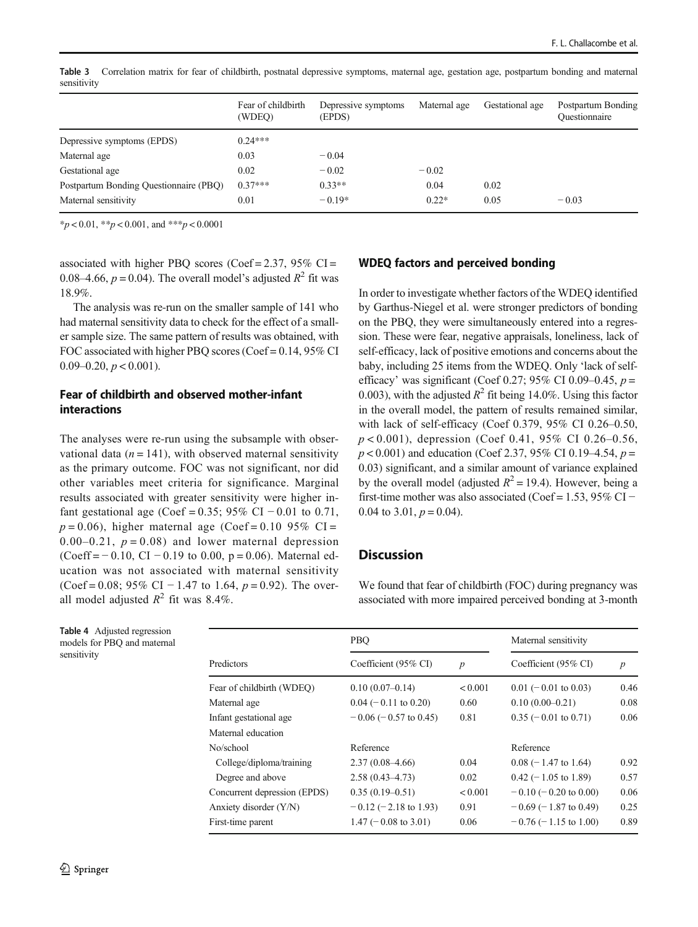|                                        | Fear of childbirth<br>(WDEO) | Depressive symptoms<br>(EPDS) | Maternal age | Gestational age | Postpartum Bonding<br>Ouestionnaire |
|----------------------------------------|------------------------------|-------------------------------|--------------|-----------------|-------------------------------------|
| Depressive symptoms (EPDS)             | $0.24***$                    |                               |              |                 |                                     |
| Maternal age                           | 0.03                         | $-0.04$                       |              |                 |                                     |
| Gestational age                        | 0.02                         | $-0.02$                       | $-0.02$      |                 |                                     |
| Postpartum Bonding Questionnaire (PBQ) | $0.37***$                    | $0.33**$                      | 0.04         | 0.02            |                                     |
| Maternal sensitivity                   | 0.01                         | $-0.19*$                      | $0.22*$      | 0.05            | $-0.03$                             |

<span id="page-5-0"></span>Table 3 Correlation matrix for fear of childbirth, postnatal depressive symptoms, maternal age, gestation age, postpartum bonding and maternal sensitivity

 $*_{p}$  < 0.01,  $*_{p}$  < 0.001, and  $*_{p}$  < 0.0001

associated with higher PBO scores (Coef =  $2.37,95\%$  CI = 0.08–4.66,  $p = 0.04$ ). The overall model's adjusted  $R^2$  fit was 18.9%.

The analysis was re-run on the smaller sample of 141 who had maternal sensitivity data to check for the effect of a smaller sample size. The same pattern of results was obtained, with FOC associated with higher PBQ scores (Coef = 0.14, 95% CI 0.09–0.20,  $p < 0.001$ ).

# Fear of childbirth and observed mother-infant interactions

The analyses were re-run using the subsample with observational data ( $n = 141$ ), with observed maternal sensitivity as the primary outcome. FOC was not significant, nor did other variables meet criteria for significance. Marginal results associated with greater sensitivity were higher infant gestational age (Coef = 0.35; 95% CI – 0.01 to 0.71,  $p = 0.06$ ), higher maternal age (Coef = 0.10 95% CI = 0.00–0.21,  $p = 0.08$ ) and lower maternal depression (Coeff =  $-0.10$ , CI  $-0.19$  to 0.00, p = 0.06). Maternal education was not associated with maternal sensitivity (Coef = 0.08; 95% CI − 1.47 to 1.64,  $p = 0.92$ ). The overall model adjusted  $R^2$  fit was 8.4%.

## WDEQ factors and perceived bonding

In order to investigate whether factors of the WDEQ identified by Garthus-Niegel et al. were stronger predictors of bonding on the PBQ, they were simultaneously entered into a regression. These were fear, negative appraisals, loneliness, lack of self-efficacy, lack of positive emotions and concerns about the baby, including 25 items from the WDEQ. Only 'lack of selfefficacy' was significant (Coef 0.27; 95% CI 0.09–0.45,  $p =$ 0.003), with the adjusted  $R^2$  fit being 14.0%. Using this factor in the overall model, the pattern of results remained similar, with lack of self-efficacy (Coef 0.379, 95% CI 0.26–0.50, p < 0.001), depression (Coef 0.41, 95% CI 0.26–0.56,  $p < 0.001$ ) and education (Coef 2.37, 95% CI 0.19–4.54,  $p =$ 0.03) significant, and a similar amount of variance explained by the overall model (adjusted  $R^2 = 19.4$ ). However, being a first-time mother was also associated (Coef = 1.53, 95% CI – 0.04 to 3.01,  $p = 0.04$ ).

# **Discussion**

We found that fear of childbirth (FOC) during pregnancy was associated with more impaired perceived bonding at 3-month

Table 4 Adjusted regression models for PBQ and maternal sensitivity

|                              | PBO                             |                  | Maternal sensitivity       |                  |  |
|------------------------------|---------------------------------|------------------|----------------------------|------------------|--|
| Predictors                   | Coefficient (95% CI)            | $\boldsymbol{p}$ | Coefficient (95% CI)       | $\boldsymbol{p}$ |  |
| Fear of childbirth (WDEO)    | $0.10(0.07-0.14)$               | < 0.001          | $0.01$ (-0.01 to 0.03)     | 0.46             |  |
| Maternal age                 | $0.04$ (-0.11 to 0.20)          | 0.60             | $0.10(0.00-0.21)$          | 0.08             |  |
| Infant gestational age       | $-0.06$ ( $-0.57$ to 0.45)      | 0.81             | $0.35$ (-0.01 to 0.71)     | 0.06             |  |
| Maternal education           |                                 |                  |                            |                  |  |
| No/school                    | Reference                       |                  | Reference                  |                  |  |
| College/diploma/training     | $2.37(0.08-4.66)$               | 0.04             | $0.08$ (-1.47 to 1.64)     | 0.92             |  |
| Degree and above             | $2.58(0.43 - 4.73)$             | 0.02             | $0.42$ (-1.05 to 1.89)     | 0.57             |  |
| Concurrent depression (EPDS) | $0.35(0.19-0.51)$               | < 0.001          | $-0.10$ ( $-0.20$ to 0.00) | 0.06             |  |
| Anxiety disorder (Y/N)       | $-0.12$ (-2.18 to 1.93)         | 0.91             | $-0.69$ ( $-1.87$ to 0.49) | 0.25             |  |
| First-time parent            | $1.47 (-0.08 \text{ to } 3.01)$ | 0.06             | $-0.76$ ( $-1.15$ to 1.00) | 0.89             |  |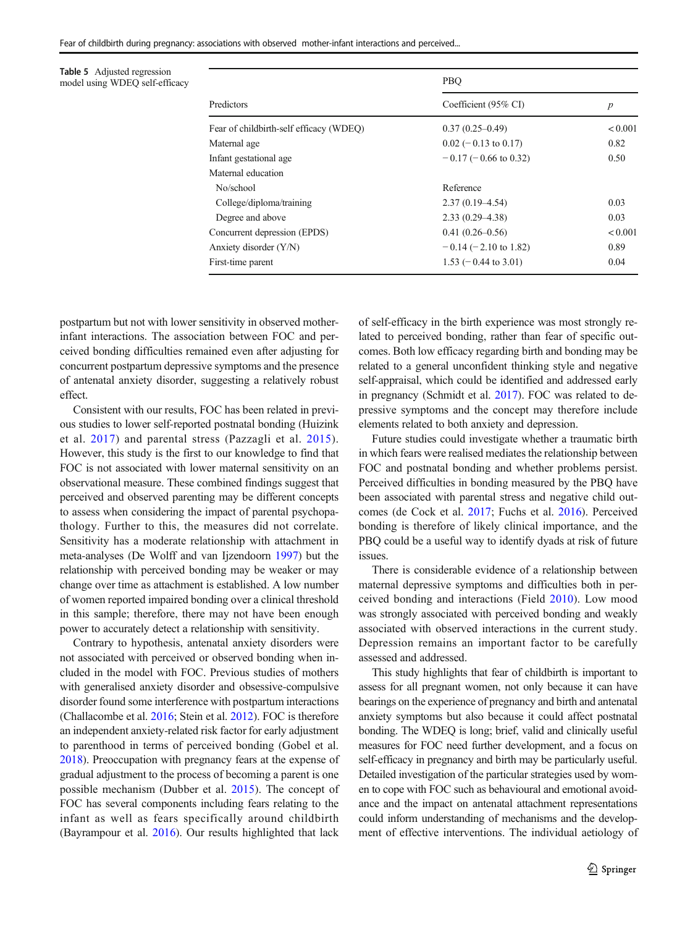<span id="page-6-0"></span>Fear of childbirth during pregnancy: associations with observed mother-infant interactions and perceived...

Table 5 Adjusted regression model using WDEQ self-efficacy

|                                         | PBO                     | $\boldsymbol{p}$ |  |
|-----------------------------------------|-------------------------|------------------|--|
| Predictors                              | Coefficient (95% CI)    |                  |  |
| Fear of childbirth-self efficacy (WDEO) | $0.37(0.25-0.49)$       | ${}_{0.001}$     |  |
| Maternal age                            | $0.02$ (-0.13 to 0.17)  | 0.82             |  |
| Infant gestational age                  | $-0.17$ (-0.66 to 0.32) | 0.50             |  |
| Maternal education                      |                         |                  |  |
| No/school                               | Reference               |                  |  |
| College/diploma/training                | $2.37(0.19-4.54)$       | 0.03             |  |
| Degree and above                        | $2.33(0.29 - 4.38)$     | 0.03             |  |
| Concurrent depression (EPDS)            | $0.41(0.26 - 0.56)$     | < 0.001          |  |
| Anxiety disorder (Y/N)                  | $-0.14$ (-2.10 to 1.82) | 0.89             |  |
| First-time parent                       | $1.53$ (-0.44 to 3.01)  | 0.04             |  |

postpartum but not with lower sensitivity in observed motherinfant interactions. The association between FOC and perceived bonding difficulties remained even after adjusting for concurrent postpartum depressive symptoms and the presence of antenatal anxiety disorder, suggesting a relatively robust effect.

Consistent with our results, FOC has been related in previous studies to lower self-reported postnatal bonding (Huizink et al. [2017\)](#page-8-0) and parental stress (Pazzagli et al. [2015](#page-8-0)). However, this study is the first to our knowledge to find that FOC is not associated with lower maternal sensitivity on an observational measure. These combined findings suggest that perceived and observed parenting may be different concepts to assess when considering the impact of parental psychopathology. Further to this, the measures did not correlate. Sensitivity has a moderate relationship with attachment in meta-analyses (De Wolff and van Ijzendoorn [1997](#page-8-0)) but the relationship with perceived bonding may be weaker or may change over time as attachment is established. A low number of women reported impaired bonding over a clinical threshold in this sample; therefore, there may not have been enough power to accurately detect a relationship with sensitivity.

Contrary to hypothesis, antenatal anxiety disorders were not associated with perceived or observed bonding when included in the model with FOC. Previous studies of mothers with generalised anxiety disorder and obsessive-compulsive disorder found some interference with postpartum interactions (Challacombe et al. [2016](#page-7-0); Stein et al. [2012](#page-8-0)). FOC is therefore an independent anxiety-related risk factor for early adjustment to parenthood in terms of perceived bonding (Gobel et al. [2018\)](#page-8-0). Preoccupation with pregnancy fears at the expense of gradual adjustment to the process of becoming a parent is one possible mechanism (Dubber et al. [2015](#page-8-0)). The concept of FOC has several components including fears relating to the infant as well as fears specifically around childbirth (Bayrampour et al. [2016\)](#page-7-0). Our results highlighted that lack

of self-efficacy in the birth experience was most strongly related to perceived bonding, rather than fear of specific outcomes. Both low efficacy regarding birth and bonding may be related to a general unconfident thinking style and negative self-appraisal, which could be identified and addressed early in pregnancy (Schmidt et al. [2017\)](#page-8-0). FOC was related to depressive symptoms and the concept may therefore include elements related to both anxiety and depression.

Future studies could investigate whether a traumatic birth in which fears were realised mediates the relationship between FOC and postnatal bonding and whether problems persist. Perceived difficulties in bonding measured by the PBQ have been associated with parental stress and negative child outcomes (de Cock et al. [2017](#page-7-0); Fuchs et al. [2016](#page-8-0)). Perceived bonding is therefore of likely clinical importance, and the PBQ could be a useful way to identify dyads at risk of future issues.

There is considerable evidence of a relationship between maternal depressive symptoms and difficulties both in perceived bonding and interactions (Field [2010\)](#page-8-0). Low mood was strongly associated with perceived bonding and weakly associated with observed interactions in the current study. Depression remains an important factor to be carefully assessed and addressed.

This study highlights that fear of childbirth is important to assess for all pregnant women, not only because it can have bearings on the experience of pregnancy and birth and antenatal anxiety symptoms but also because it could affect postnatal bonding. The WDEQ is long; brief, valid and clinically useful measures for FOC need further development, and a focus on self-efficacy in pregnancy and birth may be particularly useful. Detailed investigation of the particular strategies used by women to cope with FOC such as behavioural and emotional avoidance and the impact on antenatal attachment representations could inform understanding of mechanisms and the development of effective interventions. The individual aetiology of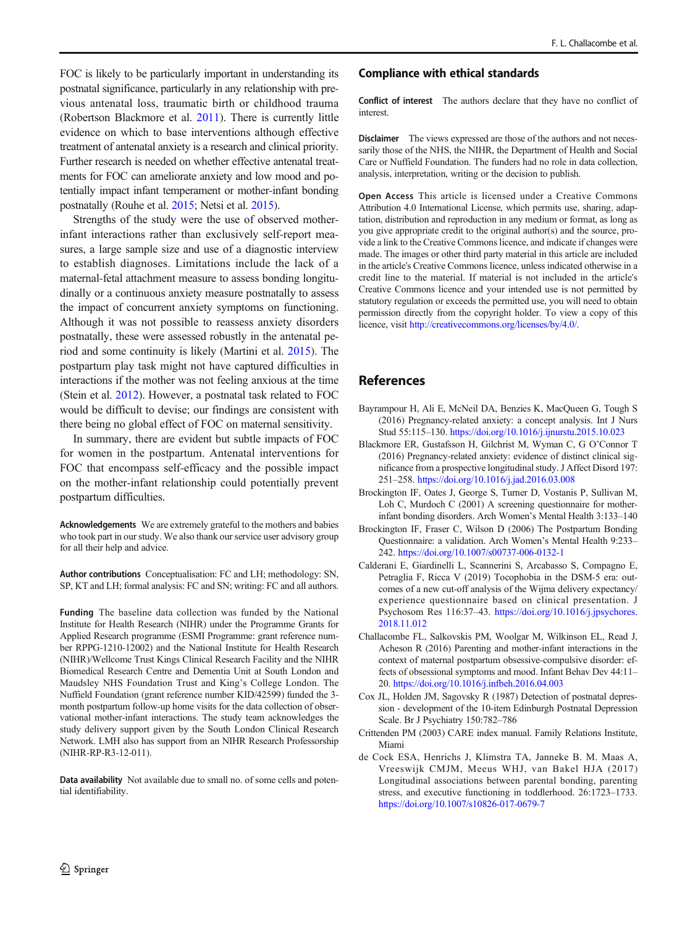<span id="page-7-0"></span>FOC is likely to be particularly important in understanding its postnatal significance, particularly in any relationship with previous antenatal loss, traumatic birth or childhood trauma (Robertson Blackmore et al. [2011](#page-8-0)). There is currently little evidence on which to base interventions although effective treatment of antenatal anxiety is a research and clinical priority. Further research is needed on whether effective antenatal treatments for FOC can ameliorate anxiety and low mood and potentially impact infant temperament or mother-infant bonding postnatally (Rouhe et al. [2015;](#page-8-0) Netsi et al. [2015\)](#page-8-0).

Strengths of the study were the use of observed motherinfant interactions rather than exclusively self-report measures, a large sample size and use of a diagnostic interview to establish diagnoses. Limitations include the lack of a maternal-fetal attachment measure to assess bonding longitudinally or a continuous anxiety measure postnatally to assess the impact of concurrent anxiety symptoms on functioning. Although it was not possible to reassess anxiety disorders postnatally, these were assessed robustly in the antenatal period and some continuity is likely (Martini et al. [2015](#page-8-0)). The postpartum play task might not have captured difficulties in interactions if the mother was not feeling anxious at the time (Stein et al. [2012](#page-8-0)). However, a postnatal task related to FOC would be difficult to devise; our findings are consistent with there being no global effect of FOC on maternal sensitivity.

In summary, there are evident but subtle impacts of FOC for women in the postpartum. Antenatal interventions for FOC that encompass self-efficacy and the possible impact on the mother-infant relationship could potentially prevent postpartum difficulties.

Acknowledgements We are extremely grateful to the mothers and babies who took part in our study. We also thank our service user advisory group for all their help and advice.

Author contributions Conceptualisation: FC and LH; methodology: SN, SP, KT and LH; formal analysis: FC and SN; writing: FC and all authors.

Funding The baseline data collection was funded by the National Institute for Health Research (NIHR) under the Programme Grants for Applied Research programme (ESMI Programme: grant reference number RPPG-1210-12002) and the National Institute for Health Research (NIHR)/Wellcome Trust Kings Clinical Research Facility and the NIHR Biomedical Research Centre and Dementia Unit at South London and Maudsley NHS Foundation Trust and King's College London. The Nuffield Foundation (grant reference number KID/42599) funded the 3 month postpartum follow-up home visits for the data collection of observational mother-infant interactions. The study team acknowledges the study delivery support given by the South London Clinical Research Network. LMH also has support from an NIHR Research Professorship (NIHR-RP-R3-12-011).

Data availability Not available due to small no. of some cells and potential identifiability.

#### Compliance with ethical standards

Conflict of interest The authors declare that they have no conflict of interest.

Disclaimer The views expressed are those of the authors and not necessarily those of the NHS, the NIHR, the Department of Health and Social Care or Nuffield Foundation. The funders had no role in data collection, analysis, interpretation, writing or the decision to publish.

Open Access This article is licensed under a Creative Commons Attribution 4.0 International License, which permits use, sharing, adaptation, distribution and reproduction in any medium or format, as long as you give appropriate credit to the original author(s) and the source, provide a link to the Creative Commons licence, and indicate if changes were made. The images or other third party material in this article are included in the article's Creative Commons licence, unless indicated otherwise in a credit line to the material. If material is not included in the article's Creative Commons licence and your intended use is not permitted by statutory regulation or exceeds the permitted use, you will need to obtain permission directly from the copyright holder. To view a copy of this licence, visit [http://creativecommons.org/licenses/by/4.0/](https://doi.org/).

## References

- Bayrampour H, Ali E, McNeil DA, Benzies K, MacQueen G, Tough S (2016) Pregnancy-related anxiety: a concept analysis. Int J Nurs Stud 55:115–130. <https://doi.org/10.1016/j.ijnurstu.2015.10.023>
- Blackmore ER, Gustafsson H, Gilchrist M, Wyman C, G O'Connor T (2016) Pregnancy-related anxiety: evidence of distinct clinical significance from a prospective longitudinal study. J Affect Disord 197: 251–258. <https://doi.org/10.1016/j.jad.2016.03.008>
- Brockington IF, Oates J, George S, Turner D, Vostanis P, Sullivan M, Loh C, Murdoch C (2001) A screening questionnaire for motherinfant bonding disorders. Arch Women's Mental Health 3:133–140
- Brockington IF, Fraser C, Wilson D (2006) The Postpartum Bonding Questionnaire: a validation. Arch Women's Mental Health 9:233– 242. <https://doi.org/10.1007/s00737-006-0132-1>
- Calderani E, Giardinelli L, Scannerini S, Arcabasso S, Compagno E, Petraglia F, Ricca V (2019) Tocophobia in the DSM-5 era: outcomes of a new cut-off analysis of the Wijma delivery expectancy/ experience questionnaire based on clinical presentation. J Psychosom Res 116:37–43. [https://doi.org/10.1016/j.jpsychores.](https://doi.org/10.1016/j.jpsychores.2018.11.012) [2018.11.012](https://doi.org/10.1016/j.jpsychores.2018.11.012)
- Challacombe FL, Salkovskis PM, Woolgar M, Wilkinson EL, Read J, Acheson R (2016) Parenting and mother-infant interactions in the context of maternal postpartum obsessive-compulsive disorder: effects of obsessional symptoms and mood. Infant Behav Dev 44:11– 20. <https://doi.org/10.1016/j.infbeh.2016.04.003>
- Cox JL, Holden JM, Sagovsky R (1987) Detection of postnatal depression - development of the 10-item Edinburgh Postnatal Depression Scale. Br J Psychiatry 150:782–786
- Crittenden PM (2003) CARE index manual. Family Relations Institute, Miami
- de Cock ESA, Henrichs J, Klimstra TA, Janneke B. M. Maas A, Vreeswijk CMJM, Meeus WHJ, van Bakel HJA (2017) Longitudinal associations between parental bonding, parenting stress, and executive functioning in toddlerhood. 26:1723–1733. <https://doi.org/10.1007/s10826-017-0679-7>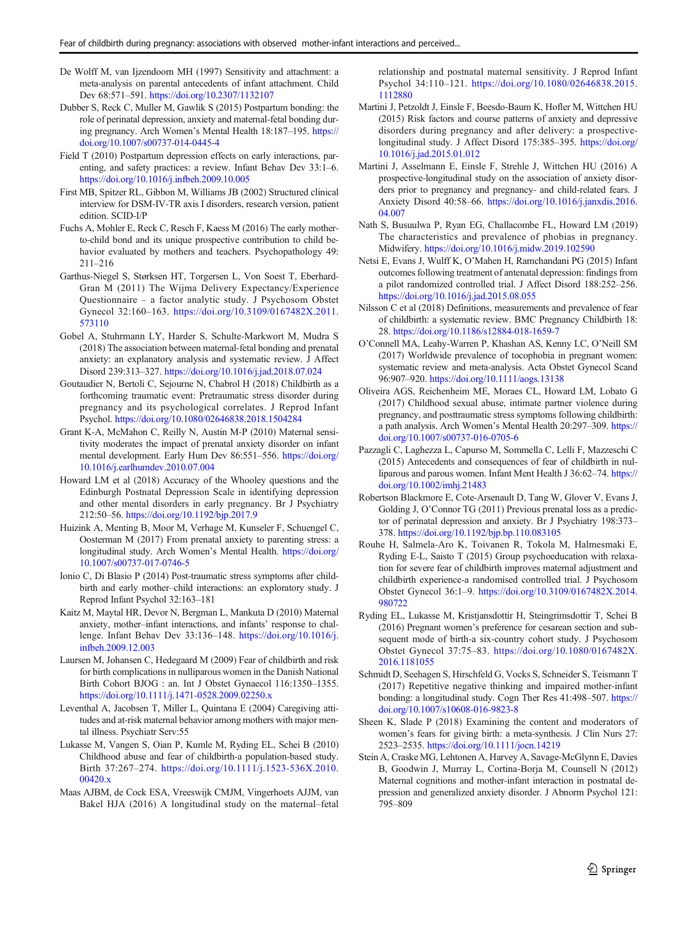- <span id="page-8-0"></span>De Wolff M, van Ijzendoorn MH (1997) Sensitivity and attachment: a meta-analysis on parental antecedents of infant attachment. Child Dev 68:571–591. <https://doi.org/10.2307/1132107>
- Dubber S, Reck C, Muller M, Gawlik S (2015) Postpartum bonding: the role of perinatal depression, anxiety and maternal-fetal bonding during pregnancy. Arch Women's Mental Health 18:187–195. [https://](https://doi.org/10.1007/s00737-014-0445-4) [doi.org/10.1007/s00737-014-0445-4](https://doi.org/10.1007/s00737-014-0445-4)
- Field T (2010) Postpartum depression effects on early interactions, parenting, and safety practices: a review. Infant Behav Dev 33:1–6. <https://doi.org/10.1016/j.infbeh.2009.10.005>
- First MB, Spitzer RL, Gibbon M, Williams JB (2002) Structured clinical interview for DSM-IV-TR axis I disorders, research version, patient edition. SCID-I/P
- Fuchs A, Mohler E, Reck C, Resch F, Kaess M (2016) The early motherto-child bond and its unique prospective contribution to child behavior evaluated by mothers and teachers. Psychopathology 49: 211–216
- Garthus-Niegel S, Størksen HT, Torgersen L, Von Soest T, Eberhard-Gran M (2011) The Wijma Delivery Expectancy/Experience Questionnaire – a factor analytic study. J Psychosom Obstet Gynecol 32:160–163. [https://doi.org/10.3109/0167482X.2011.](https://doi.org/10.3109/0167482X.2011.573110) [573110](https://doi.org/10.3109/0167482X.2011.573110)
- Gobel A, Stuhrmann LY, Harder S, Schulte-Markwort M, Mudra S (2018) The association between maternal-fetal bonding and prenatal anxiety: an explanatory analysis and systematic review. J Affect Disord 239:313–327. <https://doi.org/10.1016/j.jad.2018.07.024>
- Goutaudier N, Bertoli C, Sejourne N, Chabrol H (2018) Childbirth as a forthcoming traumatic event: Pretraumatic stress disorder during pregnancy and its psychological correlates. J Reprod Infant Psychol. <https://doi.org/10.1080/02646838.2018.1504284>
- Grant K-A, McMahon C, Reilly N, Austin M-P (2010) Maternal sensitivity moderates the impact of prenatal anxiety disorder on infant mental development. Early Hum Dev 86:551–556. [https://doi.org/](https://doi.org/10.1016/j.earlhumdev.2010.07.004) [10.1016/j.earlhumdev.2010.07.004](https://doi.org/10.1016/j.earlhumdev.2010.07.004)
- Howard LM et al (2018) Accuracy of the Whooley questions and the Edinburgh Postnatal Depression Scale in identifying depression and other mental disorders in early pregnancy. Br J Psychiatry 212:50–56. <https://doi.org/10.1192/bjp.2017.9>
- Huizink A, Menting B, Moor M, Verhage M, Kunseler F, Schuengel C, Oosterman M (2017) From prenatal anxiety to parenting stress: a longitudinal study. Arch Women's Mental Health. [https://doi.org/](https://doi.org/10.1007/s00737-017-0746-5) [10.1007/s00737-017-0746-5](https://doi.org/10.1007/s00737-017-0746-5)
- Ionio C, Di Blasio P (2014) Post-traumatic stress symptoms after childbirth and early mother–child interactions: an exploratory study. J Reprod Infant Psychol 32:163–181
- Kaitz M, Maytal HR, Devor N, Bergman L, Mankuta D (2010) Maternal anxiety, mother–infant interactions, and infants' response to challenge. Infant Behav Dev 33:136–148. [https://doi.org/10.1016/j.](https://doi.org/10.1016/j.infbeh.2009.12.003) [infbeh.2009.12.003](https://doi.org/10.1016/j.infbeh.2009.12.003)
- Laursen M, Johansen C, Hedegaard M (2009) Fear of childbirth and risk for birth complications in nulliparous women in the Danish National Birth Cohort BJOG : an. Int J Obstet Gynaecol 116:1350–1355. <https://doi.org/10.1111/j.1471-0528.2009.02250.x>
- Leventhal A, Jacobsen T, Miller L, Quintana E (2004) Caregiving attitudes and at-risk maternal behavior among mothers with major mental illness. Psychiatr Serv:55
- Lukasse M, Vangen S, Oian P, Kumle M, Ryding EL, Schei B (2010) Childhood abuse and fear of childbirth-a population-based study. Birth 37:267–274. [https://doi.org/10.1111/j.1523-536X.2010.](https://doi.org/10.1111/j.1523-536X.2010.00420.x) [00420.x](https://doi.org/10.1111/j.1523-536X.2010.00420.x)
- Maas AJBM, de Cock ESA, Vreeswijk CMJM, Vingerhoets AJJM, van Bakel HJA (2016) A longitudinal study on the maternal–fetal

relationship and postnatal maternal sensitivity. J Reprod Infant Psychol 34:110–121. [https://doi.org/10.1080/02646838.2015.](https://doi.org/10.1080/02646838.2015.1112880) [1112880](https://doi.org/10.1080/02646838.2015.1112880)

- Martini J, Petzoldt J, Einsle F, Beesdo-Baum K, Hofler M, Wittchen HU (2015) Risk factors and course patterns of anxiety and depressive disorders during pregnancy and after delivery: a prospectivelongitudinal study. J Affect Disord 175:385–395. [https://doi.org/](https://doi.org/10.1016/j.jad.2015.01.012) [10.1016/j.jad.2015.01.012](https://doi.org/10.1016/j.jad.2015.01.012)
- Martini J, Asselmann E, Einsle F, Strehle J, Wittchen HU (2016) A prospective-longitudinal study on the association of anxiety disorders prior to pregnancy and pregnancy- and child-related fears. J Anxiety Disord 40:58–66. [https://doi.org/10.1016/j.janxdis.2016.](https://doi.org/10.1016/j.janxdis.2016.04.007) [04.007](https://doi.org/10.1016/j.janxdis.2016.04.007)
- Nath S, Busuulwa P, Ryan EG, Challacombe FL, Howard LM (2019) The characteristics and prevalence of phobias in pregnancy. Midwifery. <https://doi.org/10.1016/j.midw.2019.102590>
- Netsi E, Evans J, Wulff K, O'Mahen H, Ramchandani PG (2015) Infant outcomes following treatment of antenatal depression: findings from a pilot randomized controlled trial. J Affect Disord 188:252–256. <https://doi.org/10.1016/j.jad.2015.08.055>
- Nilsson C et al (2018) Definitions, measurements and prevalence of fear of childbirth: a systematic review. BMC Pregnancy Childbirth 18: 28. <https://doi.org/10.1186/s12884-018-1659-7>
- O'Connell MA, Leahy-Warren P, Khashan AS, Kenny LC, O'Neill SM (2017) Worldwide prevalence of tocophobia in pregnant women: systematic review and meta-analysis. Acta Obstet Gynecol Scand 96:907–920. <https://doi.org/10.1111/aogs.13138>
- Oliveira AGS, Reichenheim ME, Moraes CL, Howard LM, Lobato G (2017) Childhood sexual abuse, intimate partner violence during pregnancy, and posttraumatic stress symptoms following childbirth: a path analysis. Arch Women's Mental Health 20:297–309. [https://](https://doi.org/10.1007/s00737-016-0705-6) [doi.org/10.1007/s00737-016-0705-6](https://doi.org/10.1007/s00737-016-0705-6)
- Pazzagli C, Laghezza L, Capurso M, Sommella C, Lelli F, Mazzeschi C (2015) Antecedents and consequences of fear of childbirth in nulliparous and parous women. Infant Ment Health J 36:62–74. [https://](https://doi.org/10.1002/imhj.21483) [doi.org/10.1002/imhj.21483](https://doi.org/10.1002/imhj.21483)
- Robertson Blackmore E, Cote-Arsenault D, Tang W, Glover V, Evans J, Golding J, O'Connor TG (2011) Previous prenatal loss as a predictor of perinatal depression and anxiety. Br J Psychiatry 198:373– 378. <https://doi.org/10.1192/bjp.bp.110.083105>
- Rouhe H, Salmela-Aro K, Toivanen R, Tokola M, Halmesmaki E, Ryding E-L, Saisto T (2015) Group psychoeducation with relaxation for severe fear of childbirth improves maternal adjustment and childbirth experience-a randomised controlled trial. J Psychosom Obstet Gynecol 36:1–9. [https://doi.org/10.3109/0167482X.2014.](https://doi.org/10.3109/0167482X.2014.980722) [980722](https://doi.org/10.3109/0167482X.2014.980722)
- Ryding EL, Lukasse M, Kristjansdottir H, Steingrimsdottir T, Schei B (2016) Pregnant women's preference for cesarean section and subsequent mode of birth-a six-country cohort study. J Psychosom Obstet Gynecol 37:75–83. [https://doi.org/10.1080/0167482X.](https://doi.org/10.1080/0167482X.2016.1181055) [2016.1181055](https://doi.org/10.1080/0167482X.2016.1181055)
- Schmidt D, Seehagen S, Hirschfeld G, Vocks S, Schneider S, Teismann T (2017) Repetitive negative thinking and impaired mother-infant bonding: a longitudinal study. Cogn Ther Res 41:498–507. [https://](https://doi.org/10.1007/s10608-016-9823-8) [doi.org/10.1007/s10608-016-9823-8](https://doi.org/10.1007/s10608-016-9823-8)
- Sheen K, Slade P (2018) Examining the content and moderators of women's fears for giving birth: a meta-synthesis. J Clin Nurs 27: 2523–2535. <https://doi.org/10.1111/jocn.14219>
- Stein A, Craske MG, Lehtonen A, Harvey A, Savage-McGlynn E, Davies B, Goodwin J, Murray L, Cortina-Borja M, Counsell N (2012) Maternal cognitions and mother-infant interaction in postnatal depression and generalized anxiety disorder. J Abnorm Psychol 121: 795–809